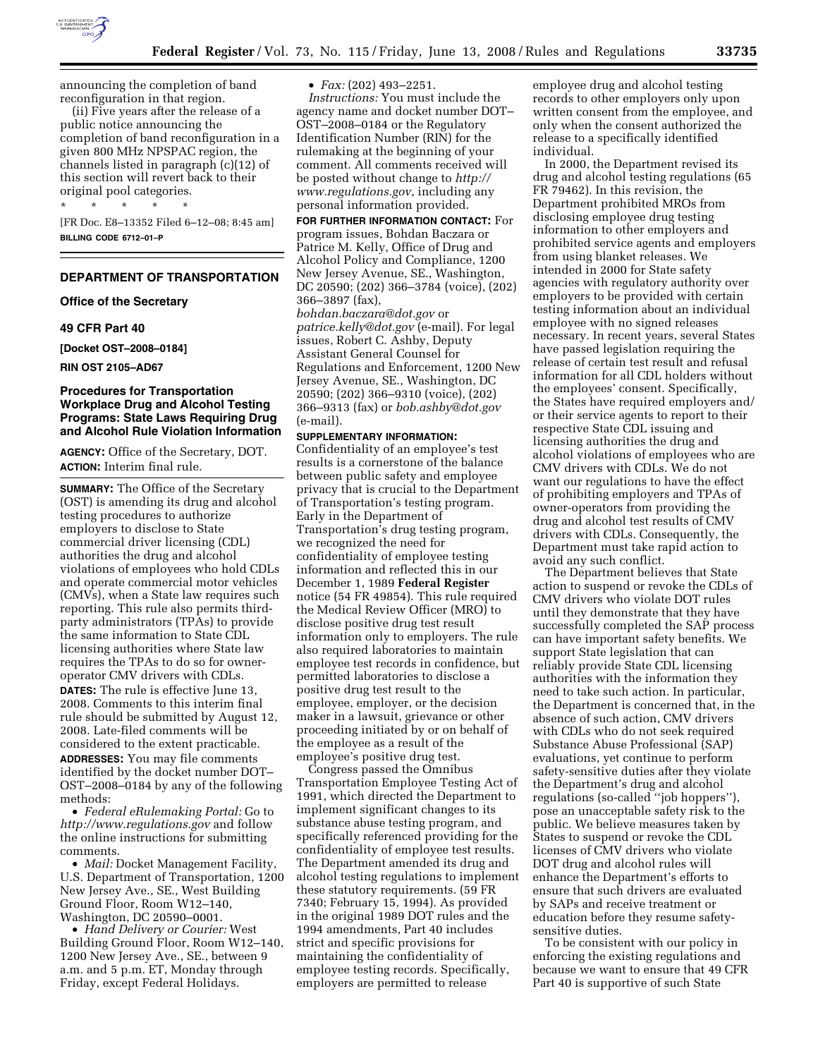

announcing the completion of band reconfiguration in that region.

(ii) Five years after the release of a public notice announcing the completion of band reconfiguration in a given 800 MHz NPSPAC region, the channels listed in paragraph (c)(12) of this section will revert back to their original pool categories.

\* \* \* \* \* [FR Doc. E8–13352 Filed 6–12–08; 8:45 am] **BILLING CODE 6712–01–P** 

# **DEPARTMENT OF TRANSPORTATION**

#### **Office of the Secretary**

#### **49 CFR Part 40**

**[Docket OST–2008–0184]** 

#### **RIN OST 2105–AD67**

# **Procedures for Transportation Workplace Drug and Alcohol Testing Programs: State Laws Requiring Drug and Alcohol Rule Violation Information**

**AGENCY:** Office of the Secretary, DOT. **ACTION:** Interim final rule.

**SUMMARY:** The Office of the Secretary (OST) is amending its drug and alcohol testing procedures to authorize employers to disclose to State commercial driver licensing (CDL) authorities the drug and alcohol violations of employees who hold CDLs and operate commercial motor vehicles (CMVs), when a State law requires such reporting. This rule also permits thirdparty administrators (TPAs) to provide the same information to State CDL licensing authorities where State law requires the TPAs to do so for owneroperator CMV drivers with CDLs.

**DATES:** The rule is effective June 13, 2008. Comments to this interim final rule should be submitted by August 12, 2008. Late-filed comments will be considered to the extent practicable.

**ADDRESSES:** You may file comments identified by the docket number DOT– OST–2008–0184 by any of the following methods:

• *Federal eRulemaking Portal:* Go to *http://www.regulations.gov* and follow the online instructions for submitting comments.

• *Mail:* Docket Management Facility, U.S. Department of Transportation, 1200 New Jersey Ave., SE., West Building Ground Floor, Room W12–140, Washington, DC 20590–0001.

• *Hand Delivery or Courier:* West Building Ground Floor, Room W12–140, 1200 New Jersey Ave., SE., between 9 a.m. and 5 p.m. ET, Monday through Friday, except Federal Holidays.

• *Fax:* (202) 493–2251.

*Instructions:* You must include the agency name and docket number DOT– OST–2008–0184 or the Regulatory Identification Number (RIN) for the rulemaking at the beginning of your comment. All comments received will be posted without change to *http:// www.regulations.gov*, including any personal information provided.

**FOR FURTHER INFORMATION CONTACT:** For program issues, Bohdan Baczara or Patrice M. Kelly, Office of Drug and Alcohol Policy and Compliance, 1200 New Jersey Avenue, SE., Washington, DC 20590; (202) 366–3784 (voice), (202) 366–3897 (fax),

*bohdan.baczara@dot.gov* or *patrice.kelly@dot.gov* (e-mail). For legal issues, Robert C. Ashby, Deputy Assistant General Counsel for Regulations and Enforcement, 1200 New Jersey Avenue, SE., Washington, DC 20590; (202) 366–9310 (voice), (202) 366–9313 (fax) or *bob.ashby@dot.gov*  (e-mail).

#### **SUPPLEMENTARY INFORMATION:**

Confidentiality of an employee's test results is a cornerstone of the balance between public safety and employee privacy that is crucial to the Department of Transportation's testing program. Early in the Department of Transportation's drug testing program, we recognized the need for confidentiality of employee testing information and reflected this in our December 1, 1989 **Federal Register**  notice (54 FR 49854). This rule required the Medical Review Officer (MRO) to disclose positive drug test result information only to employers. The rule also required laboratories to maintain employee test records in confidence, but permitted laboratories to disclose a positive drug test result to the employee, employer, or the decision maker in a lawsuit, grievance or other proceeding initiated by or on behalf of the employee as a result of the employee's positive drug test.

Congress passed the Omnibus Transportation Employee Testing Act of 1991, which directed the Department to implement significant changes to its substance abuse testing program, and specifically referenced providing for the confidentiality of employee test results. The Department amended its drug and alcohol testing regulations to implement these statutory requirements. (59 FR 7340; February 15, 1994). As provided in the original 1989 DOT rules and the 1994 amendments, Part 40 includes strict and specific provisions for maintaining the confidentiality of employee testing records. Specifically, employers are permitted to release

employee drug and alcohol testing records to other employers only upon written consent from the employee, and only when the consent authorized the release to a specifically identified individual.

In 2000, the Department revised its drug and alcohol testing regulations (65 FR 79462). In this revision, the Department prohibited MROs from disclosing employee drug testing information to other employers and prohibited service agents and employers from using blanket releases. We intended in 2000 for State safety agencies with regulatory authority over employers to be provided with certain testing information about an individual employee with no signed releases necessary. In recent years, several States have passed legislation requiring the release of certain test result and refusal information for all CDL holders without the employees' consent. Specifically, the States have required employers and/ or their service agents to report to their respective State CDL issuing and licensing authorities the drug and alcohol violations of employees who are CMV drivers with CDLs. We do not want our regulations to have the effect of prohibiting employers and TPAs of owner-operators from providing the drug and alcohol test results of CMV drivers with CDLs. Consequently, the Department must take rapid action to avoid any such conflict.

The Department believes that State action to suspend or revoke the CDLs of CMV drivers who violate DOT rules until they demonstrate that they have successfully completed the SAP process can have important safety benefits. We support State legislation that can reliably provide State CDL licensing authorities with the information they need to take such action. In particular, the Department is concerned that, in the absence of such action, CMV drivers with CDLs who do not seek required Substance Abuse Professional (SAP) evaluations, yet continue to perform safety-sensitive duties after they violate the Department's drug and alcohol regulations (so-called ''job hoppers''), pose an unacceptable safety risk to the public. We believe measures taken by States to suspend or revoke the CDL licenses of CMV drivers who violate DOT drug and alcohol rules will enhance the Department's efforts to ensure that such drivers are evaluated by SAPs and receive treatment or education before they resume safetysensitive duties.

To be consistent with our policy in enforcing the existing regulations and because we want to ensure that 49 CFR Part 40 is supportive of such State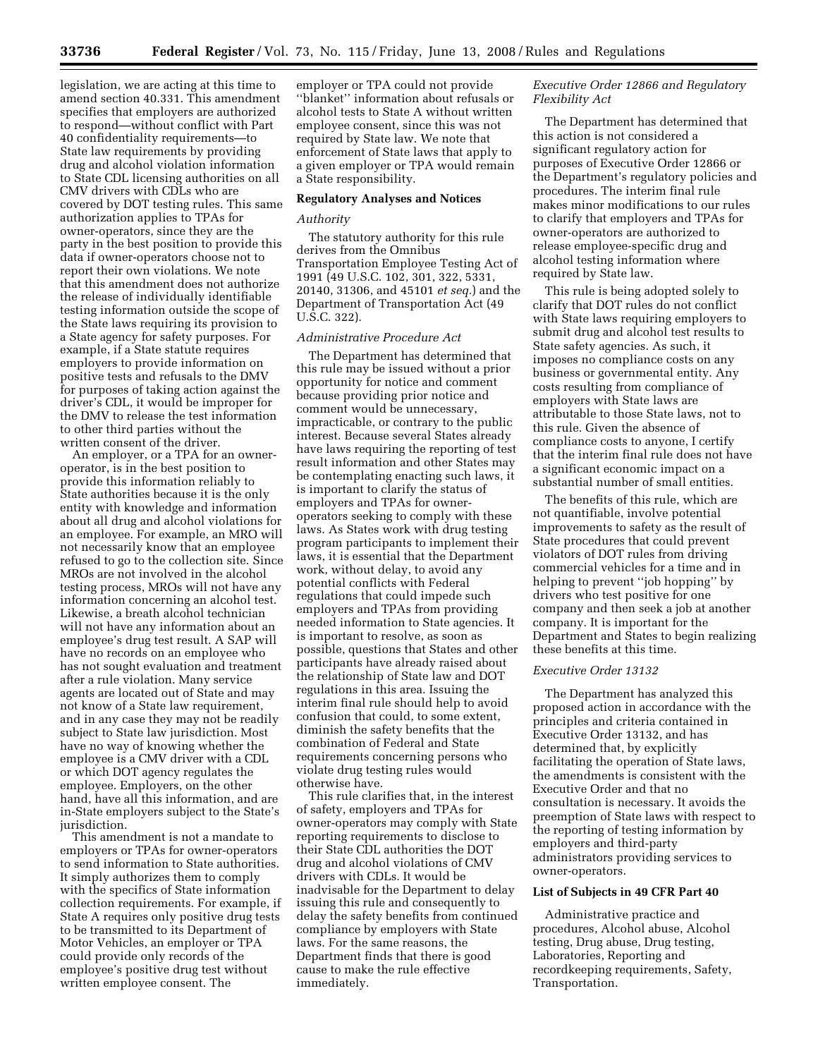legislation, we are acting at this time to amend section 40.331. This amendment specifies that employers are authorized to respond—without conflict with Part 40 confidentiality requirements—to State law requirements by providing drug and alcohol violation information to State CDL licensing authorities on all CMV drivers with CDLs who are covered by DOT testing rules. This same authorization applies to TPAs for owner-operators, since they are the party in the best position to provide this data if owner-operators choose not to report their own violations. We note that this amendment does not authorize the release of individually identifiable testing information outside the scope of the State laws requiring its provision to a State agency for safety purposes. For example, if a State statute requires employers to provide information on positive tests and refusals to the DMV for purposes of taking action against the driver's CDL, it would be improper for the DMV to release the test information to other third parties without the written consent of the driver.

An employer, or a TPA for an owneroperator, is in the best position to provide this information reliably to State authorities because it is the only entity with knowledge and information about all drug and alcohol violations for an employee. For example, an MRO will not necessarily know that an employee refused to go to the collection site. Since MROs are not involved in the alcohol testing process, MROs will not have any information concerning an alcohol test. Likewise, a breath alcohol technician will not have any information about an employee's drug test result. A SAP will have no records on an employee who has not sought evaluation and treatment after a rule violation. Many service agents are located out of State and may not know of a State law requirement, and in any case they may not be readily subject to State law jurisdiction. Most have no way of knowing whether the employee is a CMV driver with a CDL or which DOT agency regulates the employee. Employers, on the other hand, have all this information, and are in-State employers subject to the State's jurisdiction.

This amendment is not a mandate to employers or TPAs for owner-operators to send information to State authorities. It simply authorizes them to comply with the specifics of State information collection requirements. For example, if State A requires only positive drug tests to be transmitted to its Department of Motor Vehicles, an employer or TPA could provide only records of the employee's positive drug test without written employee consent. The

employer or TPA could not provide ''blanket'' information about refusals or alcohol tests to State A without written employee consent, since this was not required by State law. We note that enforcement of State laws that apply to a given employer or TPA would remain a State responsibility.

# **Regulatory Analyses and Notices**

# *Authority*

The statutory authority for this rule derives from the Omnibus Transportation Employee Testing Act of 1991 (49 U.S.C. 102, 301, 322, 5331, 20140, 31306, and 45101 *et seq.*) and the Department of Transportation Act (49 U.S.C. 322).

### *Administrative Procedure Act*

The Department has determined that this rule may be issued without a prior opportunity for notice and comment because providing prior notice and comment would be unnecessary, impracticable, or contrary to the public interest. Because several States already have laws requiring the reporting of test result information and other States may be contemplating enacting such laws, it is important to clarify the status of employers and TPAs for owneroperators seeking to comply with these laws. As States work with drug testing program participants to implement their laws, it is essential that the Department work, without delay, to avoid any potential conflicts with Federal regulations that could impede such employers and TPAs from providing needed information to State agencies. It is important to resolve, as soon as possible, questions that States and other participants have already raised about the relationship of State law and DOT regulations in this area. Issuing the interim final rule should help to avoid confusion that could, to some extent, diminish the safety benefits that the combination of Federal and State requirements concerning persons who violate drug testing rules would otherwise have.

This rule clarifies that, in the interest of safety, employers and TPAs for owner-operators may comply with State reporting requirements to disclose to their State CDL authorities the DOT drug and alcohol violations of CMV drivers with CDLs. It would be inadvisable for the Department to delay issuing this rule and consequently to delay the safety benefits from continued compliance by employers with State laws. For the same reasons, the Department finds that there is good cause to make the rule effective immediately.

# *Executive Order 12866 and Regulatory Flexibility Act*

The Department has determined that this action is not considered a significant regulatory action for purposes of Executive Order 12866 or the Department's regulatory policies and procedures. The interim final rule makes minor modifications to our rules to clarify that employers and TPAs for owner-operators are authorized to release employee-specific drug and alcohol testing information where required by State law.

This rule is being adopted solely to clarify that DOT rules do not conflict with State laws requiring employers to submit drug and alcohol test results to State safety agencies. As such, it imposes no compliance costs on any business or governmental entity. Any costs resulting from compliance of employers with State laws are attributable to those State laws, not to this rule. Given the absence of compliance costs to anyone, I certify that the interim final rule does not have a significant economic impact on a substantial number of small entities.

The benefits of this rule, which are not quantifiable, involve potential improvements to safety as the result of State procedures that could prevent violators of DOT rules from driving commercial vehicles for a time and in helping to prevent ''job hopping'' by drivers who test positive for one company and then seek a job at another company. It is important for the Department and States to begin realizing these benefits at this time.

#### *Executive Order 13132*

The Department has analyzed this proposed action in accordance with the principles and criteria contained in Executive Order 13132, and has determined that, by explicitly facilitating the operation of State laws, the amendments is consistent with the Executive Order and that no consultation is necessary. It avoids the preemption of State laws with respect to the reporting of testing information by employers and third-party administrators providing services to owner-operators.

### **List of Subjects in 49 CFR Part 40**

Administrative practice and procedures, Alcohol abuse, Alcohol testing, Drug abuse, Drug testing, Laboratories, Reporting and recordkeeping requirements, Safety, Transportation.